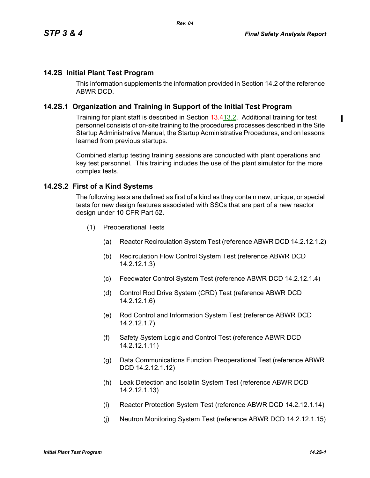### **14.2S Initial Plant Test Program**

This information supplements the information provided in Section 14.2 of the reference ABWR DCD.

### **14.2S.1 Organization and Training in Support of the Initial Test Program**

Training for plant staff is described in Section 43.413.2. Additional training for test personnel consists of on-site training to the procedures processes described in the Site Startup Administrative Manual, the Startup Administrative Procedures, and on lessons learned from previous startups.

Combined startup testing training sessions are conducted with plant operations and key test personnel. This training includes the use of the plant simulator for the more complex tests.

### **14.2S.2 First of a Kind Systems**

The following tests are defined as first of a kind as they contain new, unique, or special tests for new design features associated with SSCs that are part of a new reactor design under 10 CFR Part 52.

- (1) Preoperational Tests
	- (a) Reactor Recirculation System Test (reference ABWR DCD 14.2.12.1.2)
	- (b) Recirculation Flow Control System Test (reference ABWR DCD 14.2.12.1.3)
	- (c) Feedwater Control System Test (reference ABWR DCD 14.2.12.1.4)
	- (d) Control Rod Drive System (CRD) Test (reference ABWR DCD 14.2.12.1.6)
	- (e) Rod Control and Information System Test (reference ABWR DCD 14.2.12.1.7)
	- (f) Safety System Logic and Control Test (reference ABWR DCD 14.2.12.1.11)
	- (g) Data Communications Function Preoperational Test (reference ABWR DCD 14.2.12.1.12)
	- (h) Leak Detection and Isolatin System Test (reference ABWR DCD 14.2.12.1.13)
	- (i) Reactor Protection System Test (reference ABWR DCD 14.2.12.1.14)
	- (j) Neutron Monitoring System Test (reference ABWR DCD 14.2.12.1.15)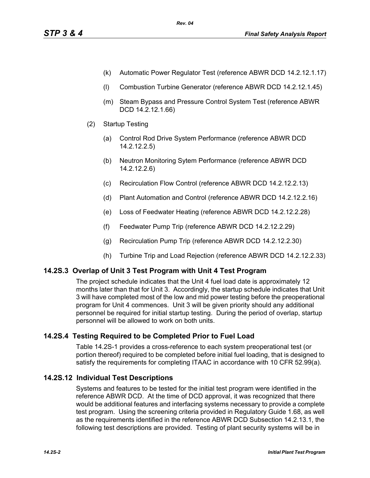- (k) Automatic Power Regulator Test (reference ABWR DCD 14.2.12.1.17)
- (l) Combustion Turbine Generator (reference ABWR DCD 14.2.12.1.45)
- (m) Steam Bypass and Pressure Control System Test (reference ABWR DCD 14.2.12.1.66)
- (2) Startup Testing
	- (a) Control Rod Drive System Performance (reference ABWR DCD 14.2.12.2.5)
	- (b) Neutron Monitoring Sytem Performance (reference ABWR DCD 14.2.12.2.6)
	- (c) Recirculation Flow Control (reference ABWR DCD 14.2.12.2.13)
	- (d) Plant Automation and Control (reference ABWR DCD 14.2.12.2.16)
	- (e) Loss of Feedwater Heating (reference ABWR DCD 14.2.12.2.28)
	- (f) Feedwater Pump Trip (reference ABWR DCD 14.2.12.2.29)
	- (g) Recirculation Pump Trip (reference ABWR DCD 14.2.12.2.30)
	- (h) Turbine Trip and Load Rejection (reference ABWR DCD 14.2.12.2.33)

## **14.2S.3 Overlap of Unit 3 Test Program with Unit 4 Test Program**

The project schedule indicates that the Unit 4 fuel load date is approximately 12 months later than that for Unit 3. Accordingly, the startup schedule indicates that Unit 3 will have completed most of the low and mid power testing before the preoperational program for Unit 4 commences. Unit 3 will be given priority should any additional personnel be required for initial startup testing. During the period of overlap, startup personnel will be allowed to work on both units.

## **14.2S.4 Testing Required to be Completed Prior to Fuel Load**

Table 14.2S-1 provides a cross-reference to each system preoperational test (or portion thereof) required to be completed before initial fuel loading, that is designed to satisfy the requirements for completing ITAAC in accordance with 10 CFR 52.99(a).

## **14.2S.12 Individual Test Descriptions**

Systems and features to be tested for the initial test program were identified in the reference ABWR DCD. At the time of DCD approval, it was recognized that there would be additional features and interfacing systems necessary to provide a complete test program. Using the screening criteria provided in Regulatory Guide 1.68, as well as the requirements identified in the reference ABWR DCD Subsection 14.2.13.1, the following test descriptions are provided. Testing of plant security systems will be in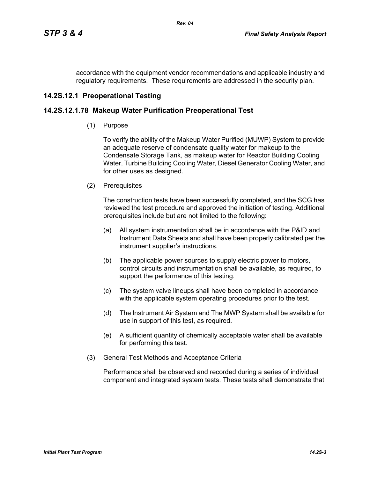accordance with the equipment vendor recommendations and applicable industry and regulatory requirements. These requirements are addressed in the security plan.

# **14.2S.12.1 Preoperational Testing**

### **14.2S.12.1.78 Makeup Water Purification Preoperational Test**

(1) Purpose

To verify the ability of the Makeup Water Purified (MUWP) System to provide an adequate reserve of condensate quality water for makeup to the Condensate Storage Tank, as makeup water for Reactor Building Cooling Water, Turbine Building Cooling Water, Diesel Generator Cooling Water, and for other uses as designed.

(2) Prerequisites

The construction tests have been successfully completed, and the SCG has reviewed the test procedure and approved the initiation of testing. Additional prerequisites include but are not limited to the following:

- (a) All system instrumentation shall be in accordance with the P&ID and Instrument Data Sheets and shall have been properly calibrated per the instrument supplier's instructions.
- (b) The applicable power sources to supply electric power to motors, control circuits and instrumentation shall be available, as required, to support the performance of this testing.
- (c) The system valve lineups shall have been completed in accordance with the applicable system operating procedures prior to the test.
- (d) The Instrument Air System and The MWP System shall be available for use in support of this test, as required.
- (e) A sufficient quantity of chemically acceptable water shall be available for performing this test.
- (3) General Test Methods and Acceptance Criteria

Performance shall be observed and recorded during a series of individual component and integrated system tests. These tests shall demonstrate that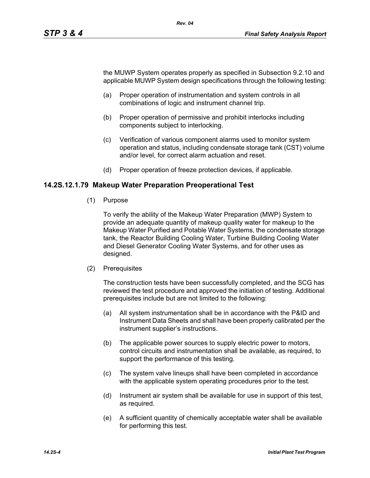the MUWP System operates properly as specified in Subsection 9.2.10 and applicable MUWP System design specifications through the following testing:

- (a) Proper operation of instrumentation and system controls in all combinations of logic and instrument channel trip.
- (b) Proper operation of permissive and prohibit interlocks including components subject to interlocking.
- (c) Verification of various component alarms used to monitor system operation and status, including condensate storage tank (CST) volume and/or level, for correct alarm actuation and reset.
- (d) Proper operation of freeze protection devices, if applicable.

### **14.2S.12.1.79 Makeup Water Preparation Preoperational Test**

(1) Purpose

To verify the ability of the Makeup Water Preparation (MWP) System to provide an adequate quantity of makeup quality water for makeup to the Makeup Water Purified and Potable Water Systems, the condensate storage tank, the Reactor Building Cooling Water, Turbine Building Cooling Water and Diesel Generator Cooling Water Systems, and for other uses as designed.

(2) Prerequisites

The construction tests have been successfully completed, and the SCG has reviewed the test procedure and approved the initiation of testing. Additional prerequisites include but are not limited to the following:

- (a) All system instrumentation shall be in accordance with the P&ID and Instrument Data Sheets and shall have been properly calibrated per the instrument supplier's instructions.
- (b) The applicable power sources to supply electric power to motors, control circuits and instrumentation shall be available, as required, to support the performance of this testing.
- (c) The system valve lineups shall have been completed in accordance with the applicable system operating procedures prior to the test.
- (d) Instrument air system shall be available for use in support of this test, as required.
- (e) A sufficient quantity of chemically acceptable water shall be available for performing this test.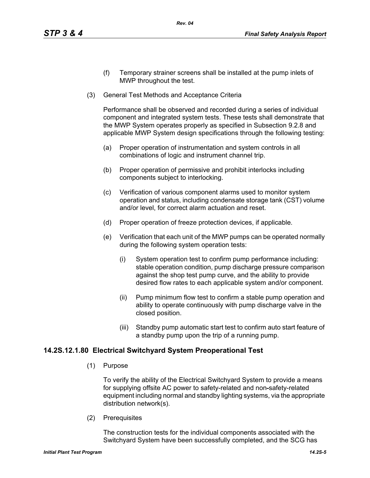- (f) Temporary strainer screens shall be installed at the pump inlets of MWP throughout the test.
- (3) General Test Methods and Acceptance Criteria

Performance shall be observed and recorded during a series of individual component and integrated system tests. These tests shall demonstrate that the MWP System operates properly as specified in Subsection 9.2.8 and applicable MWP System design specifications through the following testing:

- (a) Proper operation of instrumentation and system controls in all combinations of logic and instrument channel trip.
- (b) Proper operation of permissive and prohibit interlocks including components subject to interlocking.
- (c) Verification of various component alarms used to monitor system operation and status, including condensate storage tank (CST) volume and/or level, for correct alarm actuation and reset.
- (d) Proper operation of freeze protection devices, if applicable.
- (e) Verification that each unit of the MWP pumps can be operated normally during the following system operation tests:
	- (i) System operation test to confirm pump performance including: stable operation condition, pump discharge pressure comparison against the shop test pump curve, and the ability to provide desired flow rates to each applicable system and/or component.
	- (ii) Pump minimum flow test to confirm a stable pump operation and ability to operate continuously with pump discharge valve in the closed position.
	- (iii) Standby pump automatic start test to confirm auto start feature of a standby pump upon the trip of a running pump.

### **14.2S.12.1.80 Electrical Switchyard System Preoperational Test**

(1) Purpose

To verify the ability of the Electrical Switchyard System to provide a means for supplying offsite AC power to safety-related and non-safety-related equipment including normal and standby lighting systems, via the appropriate distribution network(s).

(2) Prerequisites

The construction tests for the individual components associated with the Switchyard System have been successfully completed, and the SCG has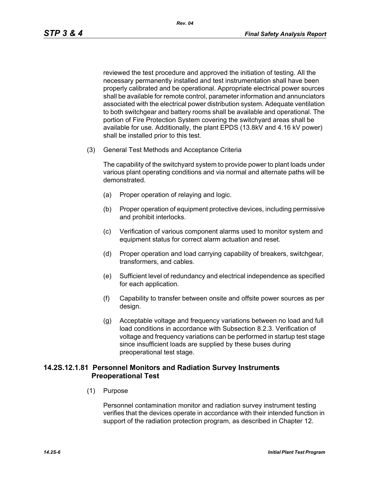reviewed the test procedure and approved the initiation of testing. All the necessary permanently installed and test instrumentation shall have been properly calibrated and be operational. Appropriate electrical power sources shall be available for remote control, parameter information and annunciators associated with the electrical power distribution system. Adequate ventilation to both switchgear and battery rooms shall be available and operational. The portion of Fire Protection System covering the switchyard areas shall be available for use. Additionally, the plant EPDS (13.8kV and 4.16 kV power) shall be installed prior to this test.

(3) General Test Methods and Acceptance Criteria

The capability of the switchyard system to provide power to plant loads under various plant operating conditions and via normal and alternate paths will be demonstrated.

- (a) Proper operation of relaying and logic.
- (b) Proper operation of equipment protective devices, including permissive and prohibit interlocks.
- (c) Verification of various component alarms used to monitor system and equipment status for correct alarm actuation and reset.
- (d) Proper operation and load carrying capability of breakers, switchgear, transformers, and cables.
- (e) Sufficient level of redundancy and electrical independence as specified for each application.
- (f) Capability to transfer between onsite and offsite power sources as per design.
- (g) Acceptable voltage and frequency variations between no load and full load conditions in accordance with Subsection 8.2.3. Verification of voltage and frequency variations can be performed in startup test stage since insufficient loads are supplied by these buses during preoperational test stage.

### **14.2S.12.1.81 Personnel Monitors and Radiation Survey Instruments Preoperational Test**

(1) Purpose

Personnel contamination monitor and radiation survey instrument testing verifies that the devices operate in accordance with their intended function in support of the radiation protection program, as described in Chapter 12.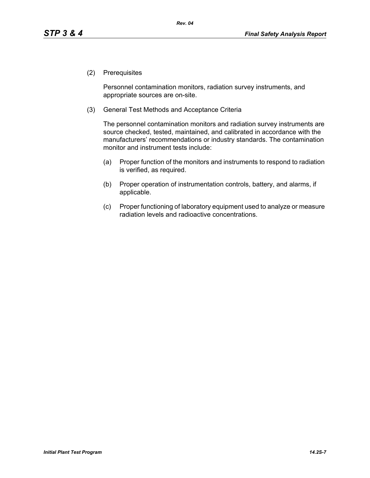(2) Prerequisites

Personnel contamination monitors, radiation survey instruments, and appropriate sources are on-site.

(3) General Test Methods and Acceptance Criteria

The personnel contamination monitors and radiation survey instruments are source checked, tested, maintained, and calibrated in accordance with the manufacturers' recommendations or industry standards. The contamination monitor and instrument tests include:

- (a) Proper function of the monitors and instruments to respond to radiation is verified, as required.
- (b) Proper operation of instrumentation controls, battery, and alarms, if applicable.
- (c) Proper functioning of laboratory equipment used to analyze or measure radiation levels and radioactive concentrations.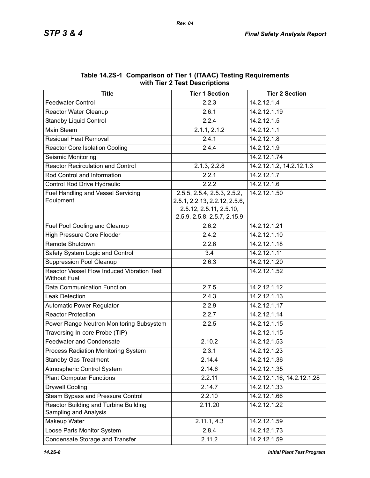| <b>Title</b>                                                      | $101 \text{ m/s}$ Lest Descriptions<br><b>Tier 1 Section</b>                                                           | <b>Tier 2 Section</b>      |
|-------------------------------------------------------------------|------------------------------------------------------------------------------------------------------------------------|----------------------------|
| <b>Feedwater Control</b>                                          | 2.2.3                                                                                                                  | 14.2.12.1.4                |
| Reactor Water Cleanup                                             | 2.6.1                                                                                                                  | 14.2.12.1.19               |
| <b>Standby Liquid Control</b>                                     | 2.2.4                                                                                                                  | 14.2.12.1.5                |
| Main Steam                                                        | 2.1.1, 2.1.2                                                                                                           | 14.2.12.1.1                |
| <b>Residual Heat Removal</b>                                      | 2.4.1                                                                                                                  | 14.2.12.1.8                |
| <b>Reactor Core Isolation Cooling</b>                             | 2.4.4                                                                                                                  | 14.2.12.1.9                |
| Seismic Monitoring                                                |                                                                                                                        | 14.2.12.1.74               |
| <b>Reactor Recirculation and Control</b>                          | 2.1.3, 2.2.8                                                                                                           | 14.2.12.1.2, 14.2.12.1.3   |
| Rod Control and Information                                       | 2.2.1                                                                                                                  | 14.2.12.1.7                |
| Control Rod Drive Hydraulic                                       | 2.2.2                                                                                                                  | 14.2.12.1.6                |
| <b>Fuel Handling and Vessel Servicing</b><br>Equipment            | 2.5.5, 2.5.4, 2.5.3, 2.5.2,<br>2.5.1, 2.2.13, 2.2.12, 2.5.6,<br>2.5.12, 2.5.11, 2.5.10,<br>2.5.9, 2.5.8, 2.5.7, 2.15.9 | 14.2.12.1.50               |
| Fuel Pool Cooling and Cleanup                                     | 2.6.2                                                                                                                  | 14.2.12.1.21               |
| <b>High Pressure Core Flooder</b>                                 | 2.4.2                                                                                                                  | 14.2.12.1.10               |
| Remote Shutdown                                                   | 2.2.6                                                                                                                  | 14.2.12.1.18               |
| Safety System Logic and Control                                   | 3.4                                                                                                                    | 14.2.12.1.11               |
| <b>Suppression Pool Cleanup</b>                                   | 2.6.3                                                                                                                  | 14.2.12.1.20               |
| Reactor Vessel Flow Induced Vibration Test<br><b>Without Fuel</b> |                                                                                                                        | 14.2.12.1.52               |
| Data Communication Function                                       | 2.7.5                                                                                                                  | 14.2.12.1.12               |
| <b>Leak Detection</b>                                             | 2.4.3                                                                                                                  | 14.2.12.1.13               |
| Automatic Power Regulator                                         | 2.2.9                                                                                                                  | 14.2.12.1.17               |
| <b>Reactor Protection</b>                                         | 2.2.7                                                                                                                  | 14.2.12.1.14               |
| Power Range Neutron Monitoring Subsystem                          | 2.2.5                                                                                                                  | 14.2.12.1.15               |
| Traversing In-core Probe (TIP)                                    |                                                                                                                        | 14.2.12.1.15               |
| <b>Feedwater and Condensate</b>                                   | 2.10.2                                                                                                                 | 14.2.12.1.53               |
| Process Radiation Monitoring System                               | 2.3.1                                                                                                                  | 14.2.12.1.23               |
| <b>Standby Gas Treatment</b>                                      | 2.14.4                                                                                                                 | 14.2.12.1.36               |
| Atmospheric Control System                                        | 2.14.6                                                                                                                 | 14.2.12.1.35               |
| <b>Plant Computer Functions</b>                                   | 2.2.11                                                                                                                 | 14.2.12.1.16, 14.2.12.1.28 |
| <b>Drywell Cooling</b>                                            | 2.14.7                                                                                                                 | 14.2.12.1.33               |
| Steam Bypass and Pressure Control                                 | 2.2.10                                                                                                                 | 14.2.12.1.66               |
| Reactor Building and Turbine Building<br>Sampling and Analysis    | 2.11.20                                                                                                                | 14.2.12.1.22               |
| Makeup Water                                                      | 2.11.1, 4.3                                                                                                            | 14.2.12.1.59               |
| Loose Parts Monitor System                                        | 2.8.4                                                                                                                  | 14.2.12.1.73               |
| Condensate Storage and Transfer                                   | 2.11.2                                                                                                                 | 14.2.12.1.59               |

#### **Table 14.2S-1 Comparison of Tier 1 (ITAAC) Testing Requirements with Tier 2 Test Descriptions**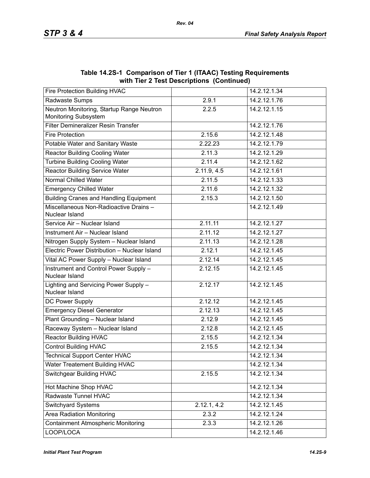|                                                                   | WILLI THEI Z TEST DESCRIPTIONS (CONTINUED) |                           |
|-------------------------------------------------------------------|--------------------------------------------|---------------------------|
| Fire Protection Building HVAC                                     |                                            | 14.2.12.1.34              |
| Radwaste Sumps                                                    | 2.9.1                                      | 14.2.12.1.76              |
| Neutron Monitoring, Startup Range Neutron<br>Monitoring Subsystem | 2.2.5                                      | 14.2.12.1.15              |
| Filter Demineralizer Resin Transfer                               |                                            | 14.2.12.1.76              |
| <b>Fire Protection</b>                                            | 2.15.6                                     | 14.2.12.1.48              |
| Potable Water and Sanitary Waste                                  | 2.22.23                                    | 14.2.12.1.79              |
| <b>Reactor Building Cooling Water</b>                             | 2.11.3                                     | 14.2.12.1.29              |
| <b>Turbine Building Cooling Water</b>                             | 2.11.4                                     | 14.2.12.1.62              |
| <b>Reactor Building Service Water</b>                             | 2.11.9, 4.5                                | 14.2.12.1.61              |
| <b>Normal Chilled Water</b>                                       | 2.11.5                                     | 14.2.12.1.33              |
| <b>Emergency Chilled Water</b>                                    | 2.11.6                                     | 14.2.12.1.32              |
| <b>Building Cranes and Handling Equipment</b>                     | 2.15.3                                     | 14.2.12.1.50              |
| Miscellaneous Non-Radioactive Drains -<br>Nuclear Island          |                                            | 14.2.12.1.49              |
| Service Air - Nuclear Island                                      | 2.11.11                                    | 14.2.12.1.27              |
| Instrument Air - Nuclear Island                                   | 2.11.12                                    | 14.2.12.1.27              |
| Nitrogen Supply System - Nuclear Island                           | 2.11.13                                    | 14.2.12.1.28              |
| Electric Power Distribution - Nuclear Island                      | 2.12.1                                     | 14.2.12.1.45              |
| Vital AC Power Supply - Nuclear Island                            | 2.12.14                                    | 14.2.12.1.45              |
| Instrument and Control Power Supply -<br>Nuclear Island           | 2.12.15                                    | 14.2.12.1.45              |
| Lighting and Servicing Power Supply -<br>Nuclear Island           | 2.12.17                                    | 14.2.12.1.45              |
| DC Power Supply                                                   | 2.12.12                                    | 14.2.12.1.45              |
| <b>Emergency Diesel Generator</b>                                 | 2.12.13                                    | 14.2.12.1.45              |
| Plant Grounding - Nuclear Island                                  | 2.12.9                                     | 14.2.12.1.45              |
| Raceway System - Nuclear Island                                   | 2.12.8                                     | 14.2.12.1.45              |
| <b>Reactor Building HVAC</b>                                      | 2.15.5                                     | 14.2.12.1.34              |
| <b>Control Building HVAC</b>                                      | 2.15.5                                     | 14.2.12.1.34              |
| <b>Technical Support Center HVAC</b>                              |                                            | 14.2.12.1.34              |
| Water Treatement Building HVAC                                    |                                            | 14.2.12.1.34              |
| <b>Switchgear Building HVAC</b>                                   | 2.15.5                                     | 14.2.12.1.34              |
| Hot Machine Shop HVAC                                             |                                            | 14.2.12.1.34              |
| Radwaste Tunnel HVAC                                              |                                            | 14.2.12.1.34              |
| Switchyard Systems                                                | 2.12.1, 4.2                                | 14.2.12.1.45              |
| <b>Area Radiation Monitoring</b>                                  | 2.3.2                                      | $14.2.12.\overline{1.24}$ |
| <b>Containment Atmospheric Monitoring</b>                         | 2.3.3                                      | 14.2.12.1.26              |
| LOOP/LOCA                                                         |                                            | 14.2.12.1.46              |

**Table 14.2S-1 Comparison of Tier 1 (ITAAC) Testing Requirements with Tier 2 Test Descriptions (Continued)**